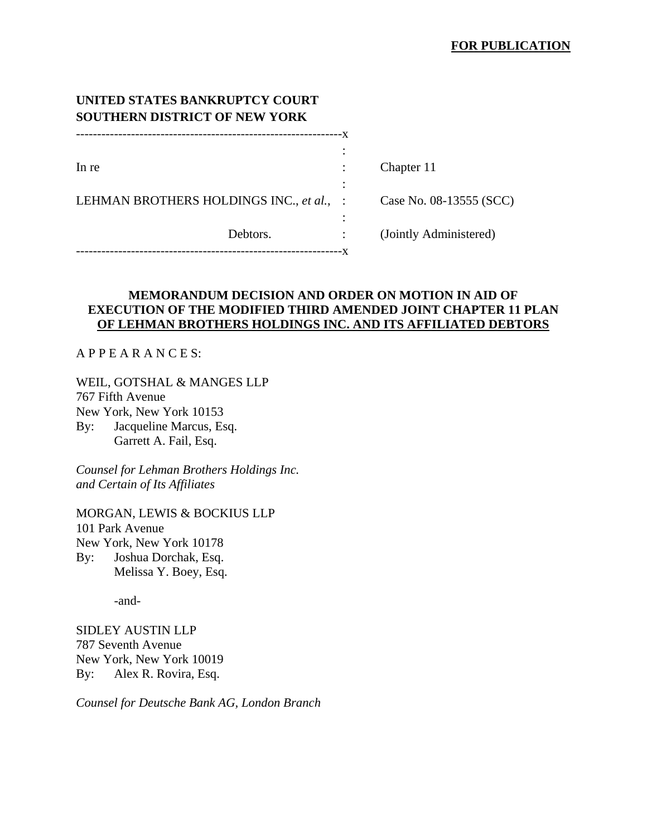| UNITED STATES BANKRUPTCY COURT<br><b>SOUTHERN DISTRICT OF NEW YORK</b> |    |                         |
|------------------------------------------------------------------------|----|-------------------------|
|                                                                        | -X |                         |
| In re                                                                  |    | Chapter 11              |
|                                                                        |    |                         |
| LEHMAN BROTHERS HOLDINGS INC., et al., :                               |    | Case No. 08-13555 (SCC) |
| Debtors.                                                               |    | (Jointly Administered)  |
|                                                                        |    |                         |

# **MEMORANDUM DECISION AND ORDER ON MOTION IN AID OF EXECUTION OF THE MODIFIED THIRD AMENDED JOINT CHAPTER 11 PLAN OF LEHMAN BROTHERS HOLDINGS INC. AND ITS AFFILIATED DEBTORS**

## A P P E A R A N C E S:

WEIL, GOTSHAL & MANGES LLP 767 Fifth Avenue New York, New York 10153 By: Jacqueline Marcus, Esq. Garrett A. Fail, Esq.

*Counsel for Lehman Brothers Holdings Inc. and Certain of Its Affiliates* 

MORGAN, LEWIS & BOCKIUS LLP 101 Park Avenue New York, New York 10178 By: Joshua Dorchak, Esq. Melissa Y. Boey, Esq.

-and-

SIDLEY AUSTIN LLP 787 Seventh Avenue New York, New York 10019 By: Alex R. Rovira, Esq.

*Counsel for Deutsche Bank AG, London Branch*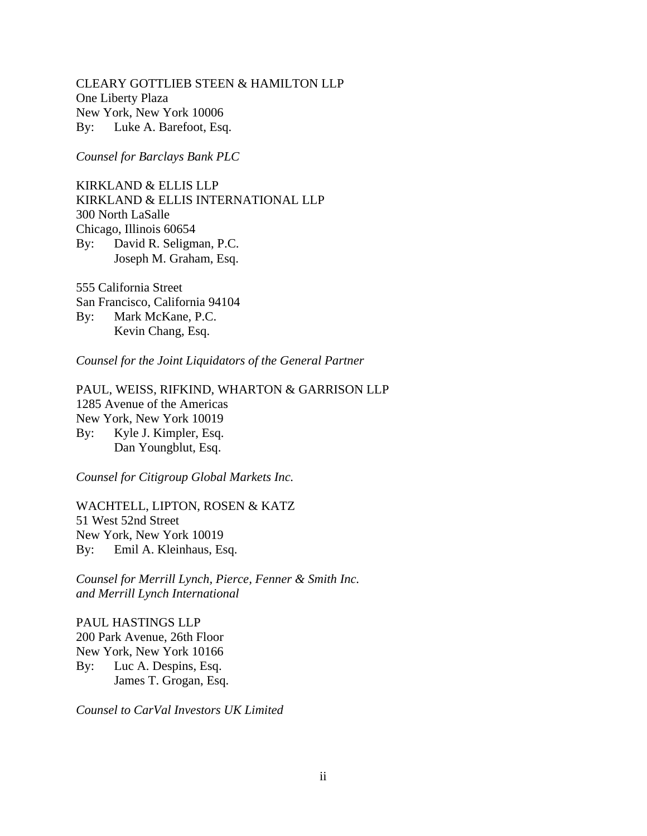CLEARY GOTTLIEB STEEN & HAMILTON LLP One Liberty Plaza New York, New York 10006 By: Luke A. Barefoot, Esq.

*Counsel for Barclays Bank PLC* 

KIRKLAND & ELLIS LLP KIRKLAND & ELLIS INTERNATIONAL LLP 300 North LaSalle Chicago, Illinois 60654 By: David R. Seligman, P.C. Joseph M. Graham, Esq.

555 California Street San Francisco, California 94104 By: Mark McKane, P.C. Kevin Chang, Esq.

*Counsel for the Joint Liquidators of the General Partner* 

PAUL, WEISS, RIFKIND, WHARTON & GARRISON LLP 1285 Avenue of the Americas New York, New York 10019 By: Kyle J. Kimpler, Esq. Dan Youngblut, Esq.

*Counsel for Citigroup Global Markets Inc.* 

WACHTELL, LIPTON, ROSEN & KATZ 51 West 52nd Street New York, New York 10019 By: Emil A. Kleinhaus, Esq.

*Counsel for Merrill Lynch, Pierce, Fenner & Smith Inc. and Merrill Lynch International* 

PAUL HASTINGS LLP 200 Park Avenue, 26th Floor New York, New York 10166 By: Luc A. Despins, Esq. James T. Grogan, Esq.

*Counsel to CarVal Investors UK Limited*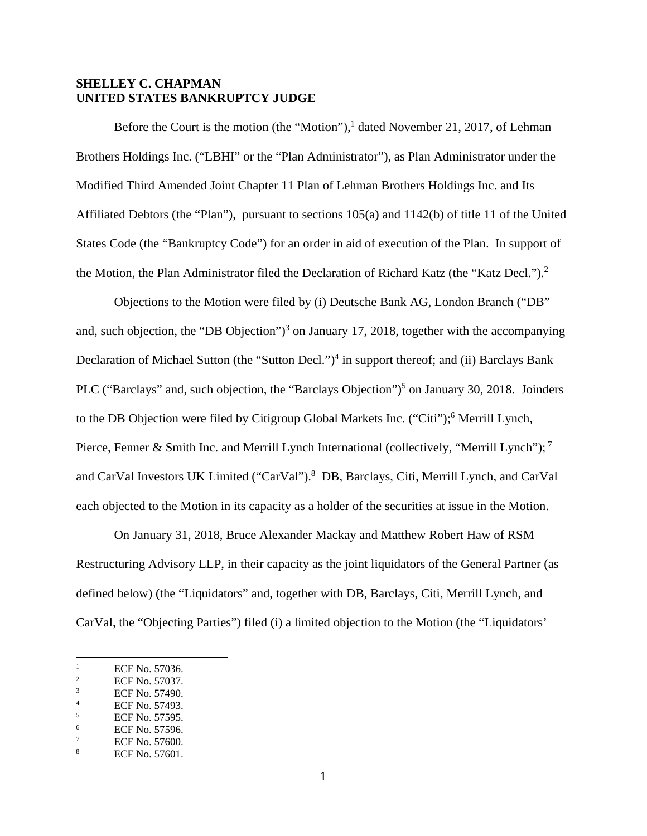## **SHELLEY C. CHAPMAN UNITED STATES BANKRUPTCY JUDGE**

Before the Court is the motion (the "Motion"),<sup>1</sup> dated November 21, 2017, of Lehman Brothers Holdings Inc. ("LBHI" or the "Plan Administrator"), as Plan Administrator under the Modified Third Amended Joint Chapter 11 Plan of Lehman Brothers Holdings Inc. and Its Affiliated Debtors (the "Plan"), pursuant to sections 105(a) and 1142(b) of title 11 of the United States Code (the "Bankruptcy Code") for an order in aid of execution of the Plan. In support of the Motion, the Plan Administrator filed the Declaration of Richard Katz (the "Katz Decl.").<sup>2</sup>

Objections to the Motion were filed by (i) Deutsche Bank AG, London Branch ("DB" and, such objection, the "DB Objection" $)^3$  on January 17, 2018, together with the accompanying Declaration of Michael Sutton (the "Sutton Decl.")<sup>4</sup> in support thereof; and (ii) Barclays Bank PLC ("Barclays" and, such objection, the "Barclays Objection")<sup>5</sup> on January 30, 2018. Joinders to the DB Objection were filed by Citigroup Global Markets Inc. ("Citi");<sup>6</sup> Merrill Lynch, Pierce, Fenner & Smith Inc. and Merrill Lynch International (collectively, "Merrill Lynch");<sup>7</sup> and CarVal Investors UK Limited ("CarVal").<sup>8</sup> DB, Barclays, Citi, Merrill Lynch, and CarVal each objected to the Motion in its capacity as a holder of the securities at issue in the Motion.

On January 31, 2018, Bruce Alexander Mackay and Matthew Robert Haw of RSM Restructuring Advisory LLP, in their capacity as the joint liquidators of the General Partner (as defined below) (the "Liquidators" and, together with DB, Barclays, Citi, Merrill Lynch, and CarVal, the "Objecting Parties") filed (i) a limited objection to the Motion (the "Liquidators'

 $\frac{1}{1}$ ECF No. 57036.

<sup>2</sup> ECF No. 57037. 3

ECF No. 57490. 4

ECF No. 57493. 5

ECF No. 57595. 6

ECF No. 57596. 7

ECF No. 57600. 8

ECF No. 57601.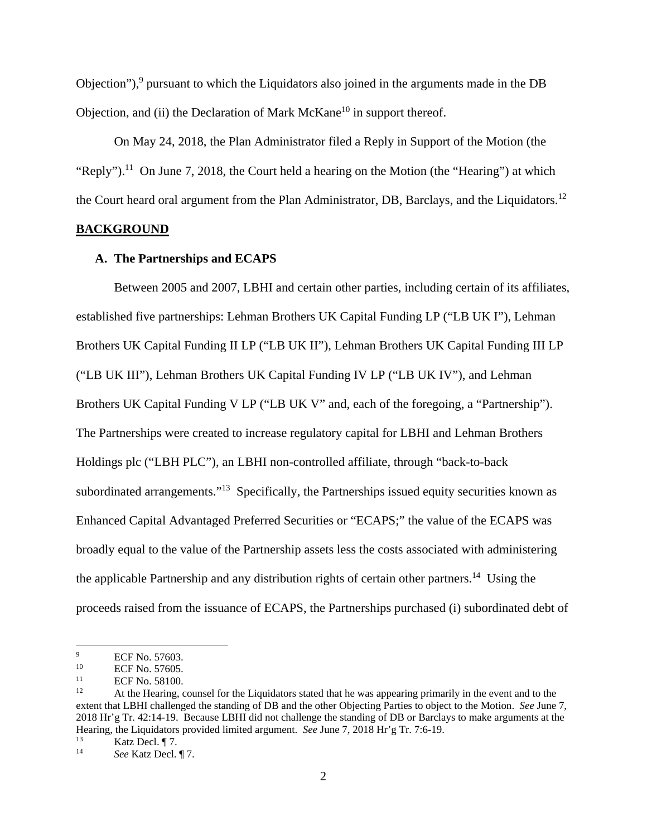Objection"),<sup>9</sup> pursuant to which the Liquidators also joined in the arguments made in the DB Objection, and (ii) the Declaration of Mark  $McKane<sup>10</sup>$  in support thereof.

On May 24, 2018, the Plan Administrator filed a Reply in Support of the Motion (the "Reply").<sup>11</sup> On June 7, 2018, the Court held a hearing on the Motion (the "Hearing") at which the Court heard oral argument from the Plan Administrator, DB, Barclays, and the Liquidators.<sup>12</sup>

## **BACKGROUND**

#### **A. The Partnerships and ECAPS**

Between 2005 and 2007, LBHI and certain other parties, including certain of its affiliates, established five partnerships: Lehman Brothers UK Capital Funding LP ("LB UK I"), Lehman Brothers UK Capital Funding II LP ("LB UK II"), Lehman Brothers UK Capital Funding III LP ("LB UK III"), Lehman Brothers UK Capital Funding IV LP ("LB UK IV"), and Lehman Brothers UK Capital Funding V LP ("LB UK V" and, each of the foregoing, a "Partnership"). The Partnerships were created to increase regulatory capital for LBHI and Lehman Brothers Holdings plc ("LBH PLC"), an LBHI non-controlled affiliate, through "back-to-back subordinated arrangements."<sup>13</sup> Specifically, the Partnerships issued equity securities known as Enhanced Capital Advantaged Preferred Securities or "ECAPS;" the value of the ECAPS was broadly equal to the value of the Partnership assets less the costs associated with administering the applicable Partnership and any distribution rights of certain other partners.<sup>14</sup> Using the proceeds raised from the issuance of ECAPS, the Partnerships purchased (i) subordinated debt of

<sup>9</sup>  $\frac{9}{10}$  ECF No. 57603.

<sup>&</sup>lt;sup>10</sup> ECF No. 57605.

<sup>&</sup>lt;sup>11</sup> ECF No. 58100.

<sup>12</sup> At the Hearing, counsel for the Liquidators stated that he was appearing primarily in the event and to the extent that LBHI challenged the standing of DB and the other Objecting Parties to object to the Motion. *See* June 7, 2018 Hr'g Tr. 42:14-19. Because LBHI did not challenge the standing of DB or Barclays to make arguments at the Hearing, the Liquidators provided limited argument. *See* June 7, 2018 Hr'g Tr. 7:6-19.<br><sup>13</sup> Katz Decl. ¶ 7.<br><sup>14</sup> See Katz Decl. ¶ 7.

See Katz Decl. ¶ 7.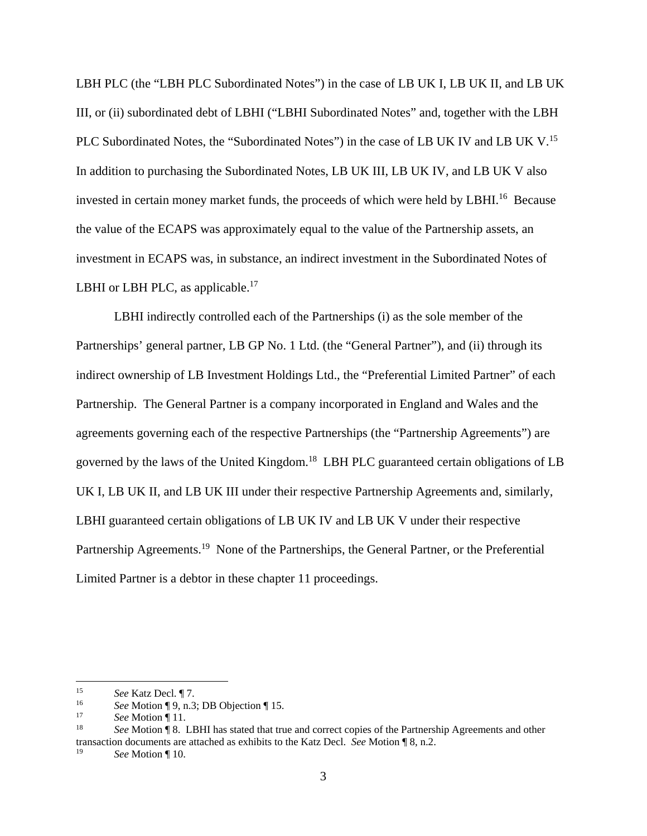LBH PLC (the "LBH PLC Subordinated Notes") in the case of LB UK I, LB UK II, and LB UK III, or (ii) subordinated debt of LBHI ("LBHI Subordinated Notes" and, together with the LBH PLC Subordinated Notes, the "Subordinated Notes") in the case of LB UK IV and LB UK V.<sup>15</sup> In addition to purchasing the Subordinated Notes, LB UK III, LB UK IV, and LB UK V also invested in certain money market funds, the proceeds of which were held by LBHI.<sup>16</sup> Because the value of the ECAPS was approximately equal to the value of the Partnership assets, an investment in ECAPS was, in substance, an indirect investment in the Subordinated Notes of LBHI or LBH PLC, as applicable.<sup>17</sup>

LBHI indirectly controlled each of the Partnerships (i) as the sole member of the Partnerships' general partner, LB GP No. 1 Ltd. (the "General Partner"), and (ii) through its indirect ownership of LB Investment Holdings Ltd., the "Preferential Limited Partner" of each Partnership. The General Partner is a company incorporated in England and Wales and the agreements governing each of the respective Partnerships (the "Partnership Agreements") are governed by the laws of the United Kingdom.18 LBH PLC guaranteed certain obligations of LB UK I, LB UK II, and LB UK III under their respective Partnership Agreements and, similarly, LBHI guaranteed certain obligations of LB UK IV and LB UK V under their respective Partnership Agreements.<sup>19</sup> None of the Partnerships, the General Partner, or the Preferential Limited Partner is a debtor in these chapter 11 proceedings.

<sup>15</sup> *See* Katz Decl. ¶ 7.

<sup>&</sup>lt;sup>16</sup> See Motion ¶ 9, n.3; DB Objection ¶ 15.<br><sup>17</sup> *See* Motion ¶ 11.<br><sup>18</sup> *See* Motion ¶ 8. LBHI has stated that true and correct copies of the Partnership Agreements and other transaction documents are attached as exhibits to the Katz Decl. *See* Motion ¶ 8, n.2.

<sup>19</sup> *See* Motion ¶ 10.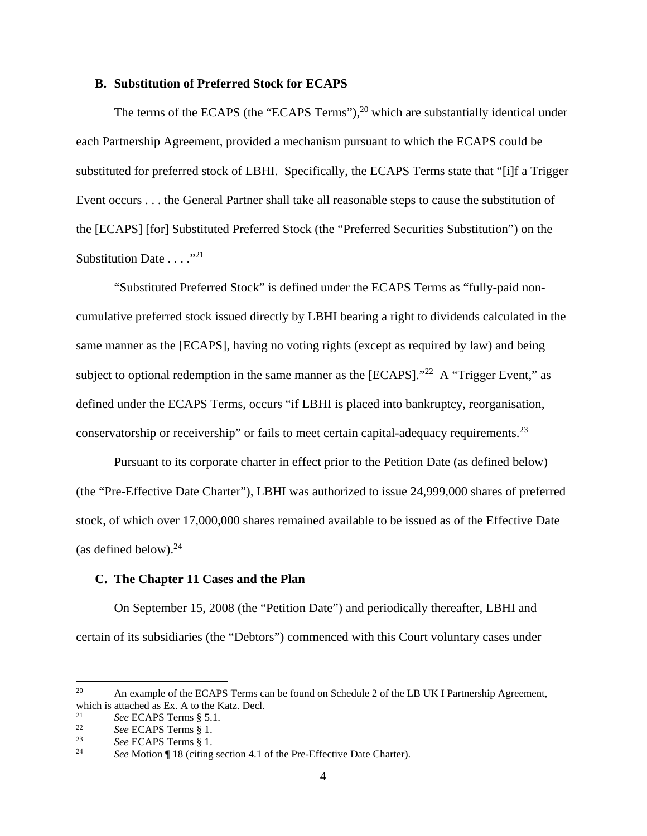#### **B. Substitution of Preferred Stock for ECAPS**

The terms of the ECAPS (the "ECAPS Terms"), $^{20}$  which are substantially identical under each Partnership Agreement, provided a mechanism pursuant to which the ECAPS could be substituted for preferred stock of LBHI. Specifically, the ECAPS Terms state that "[i]f a Trigger Event occurs . . . the General Partner shall take all reasonable steps to cause the substitution of the [ECAPS] [for] Substituted Preferred Stock (the "Preferred Securities Substitution") on the Substitution Date  $\ldots$ ."<sup>21</sup>

"Substituted Preferred Stock" is defined under the ECAPS Terms as "fully-paid noncumulative preferred stock issued directly by LBHI bearing a right to dividends calculated in the same manner as the [ECAPS], having no voting rights (except as required by law) and being subject to optional redemption in the same manner as the [ECAPS]."<sup>22</sup> A "Trigger Event," as defined under the ECAPS Terms, occurs "if LBHI is placed into bankruptcy, reorganisation, conservatorship or receivership" or fails to meet certain capital-adequacy requirements.23

Pursuant to its corporate charter in effect prior to the Petition Date (as defined below) (the "Pre-Effective Date Charter"), LBHI was authorized to issue 24,999,000 shares of preferred stock, of which over 17,000,000 shares remained available to be issued as of the Effective Date (as defined below). $24$ 

### **C. The Chapter 11 Cases and the Plan**

On September 15, 2008 (the "Petition Date") and periodically thereafter, LBHI and certain of its subsidiaries (the "Debtors") commenced with this Court voluntary cases under

<u>.</u>

<sup>&</sup>lt;sup>20</sup> An example of the ECAPS Terms can be found on Schedule 2 of the LB UK I Partnership Agreement, which is attached as Ex. A to the Katz. Decl.<br>  $^{21}$  See ECAPS Terms § 5.1.

<sup>21</sup> See ECAPS Terms § 5.1.<br>
22 See ECAPS Terms § 1.<br>
23 See ECAPS Terms § 1.<br>
24 See Motion ¶ 18 (citing section 4.1 of the Pre-Effective Date Charter).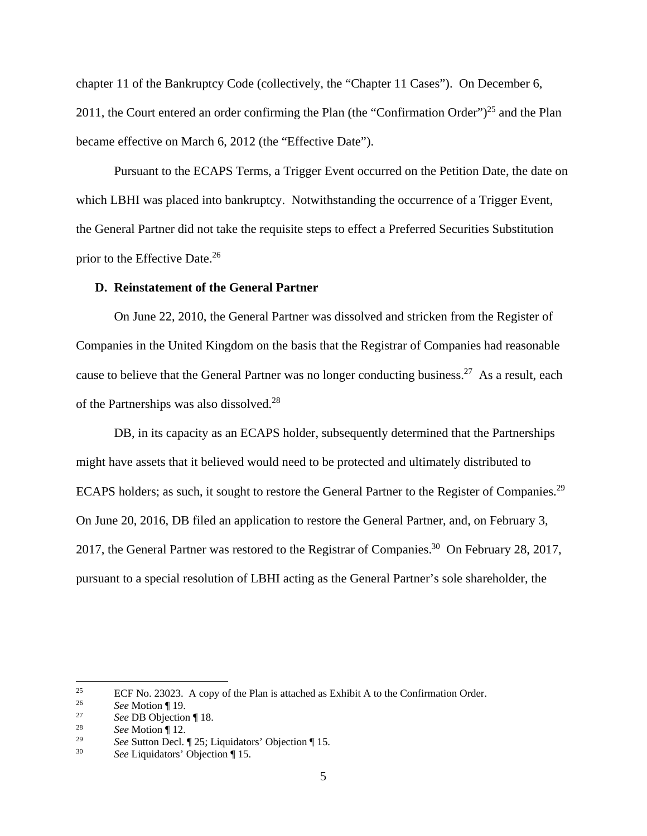chapter 11 of the Bankruptcy Code (collectively, the "Chapter 11 Cases"). On December 6, 2011, the Court entered an order confirming the Plan (the "Confirmation Order")<sup>25</sup> and the Plan became effective on March 6, 2012 (the "Effective Date").

Pursuant to the ECAPS Terms, a Trigger Event occurred on the Petition Date, the date on which LBHI was placed into bankruptcy. Notwithstanding the occurrence of a Trigger Event, the General Partner did not take the requisite steps to effect a Preferred Securities Substitution prior to the Effective Date.<sup>26</sup>

#### **D. Reinstatement of the General Partner**

On June 22, 2010, the General Partner was dissolved and stricken from the Register of Companies in the United Kingdom on the basis that the Registrar of Companies had reasonable cause to believe that the General Partner was no longer conducting business.<sup>27</sup> As a result, each of the Partnerships was also dissolved.28

DB, in its capacity as an ECAPS holder, subsequently determined that the Partnerships might have assets that it believed would need to be protected and ultimately distributed to ECAPS holders; as such, it sought to restore the General Partner to the Register of Companies.<sup>29</sup> On June 20, 2016, DB filed an application to restore the General Partner, and, on February 3, 2017, the General Partner was restored to the Registrar of Companies.<sup>30</sup> On February 28, 2017, pursuant to a special resolution of LBHI acting as the General Partner's sole shareholder, the

<sup>&</sup>lt;sup>25</sup> ECF No. 23023. A copy of the Plan is attached as Exhibit A to the Confirmation Order.

<sup>26</sup>*See* Motion ¶ 19. 27 *See* DB Objection ¶ 18. 28 *See* Motion ¶ 12.

<sup>29</sup> *See* Sutton Decl. ¶ 25; Liquidators' Objection ¶ 15.

See Liquidators' Objection ¶ 15.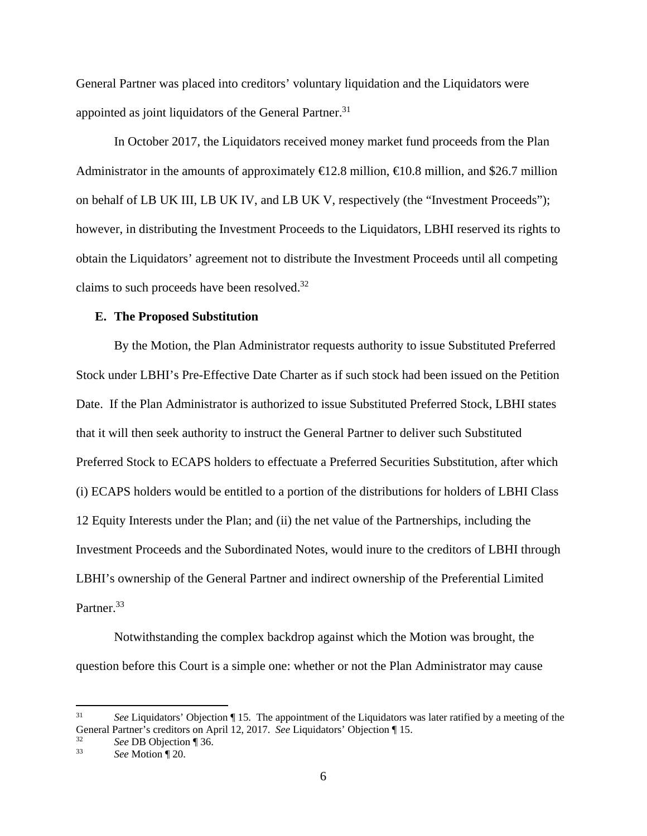General Partner was placed into creditors' voluntary liquidation and the Liquidators were appointed as joint liquidators of the General Partner.<sup>31</sup>

In October 2017, the Liquidators received money market fund proceeds from the Plan Administrator in the amounts of approximately  $\in$  2.8 million,  $\in$  0.8 million, and \$26.7 million on behalf of LB UK III, LB UK IV, and LB UK V, respectively (the "Investment Proceeds"); however, in distributing the Investment Proceeds to the Liquidators, LBHI reserved its rights to obtain the Liquidators' agreement not to distribute the Investment Proceeds until all competing claims to such proceeds have been resolved.32

## **E. The Proposed Substitution**

By the Motion, the Plan Administrator requests authority to issue Substituted Preferred Stock under LBHI's Pre-Effective Date Charter as if such stock had been issued on the Petition Date. If the Plan Administrator is authorized to issue Substituted Preferred Stock, LBHI states that it will then seek authority to instruct the General Partner to deliver such Substituted Preferred Stock to ECAPS holders to effectuate a Preferred Securities Substitution, after which (i) ECAPS holders would be entitled to a portion of the distributions for holders of LBHI Class 12 Equity Interests under the Plan; and (ii) the net value of the Partnerships, including the Investment Proceeds and the Subordinated Notes, would inure to the creditors of LBHI through LBHI's ownership of the General Partner and indirect ownership of the Preferential Limited Partner.<sup>33</sup>

Notwithstanding the complex backdrop against which the Motion was brought, the question before this Court is a simple one: whether or not the Plan Administrator may cause

 $31$ See Liquidators' Objection ¶ 15. The appointment of the Liquidators was later ratified by a meeting of the General Partner's creditors on April 12, 2017. *See* Liquidators' Objection ¶ 15.<br><sup>32</sup> *See* DB Objection ¶ 36.<br><sup>33</sup> *See* Motion ¶ 20.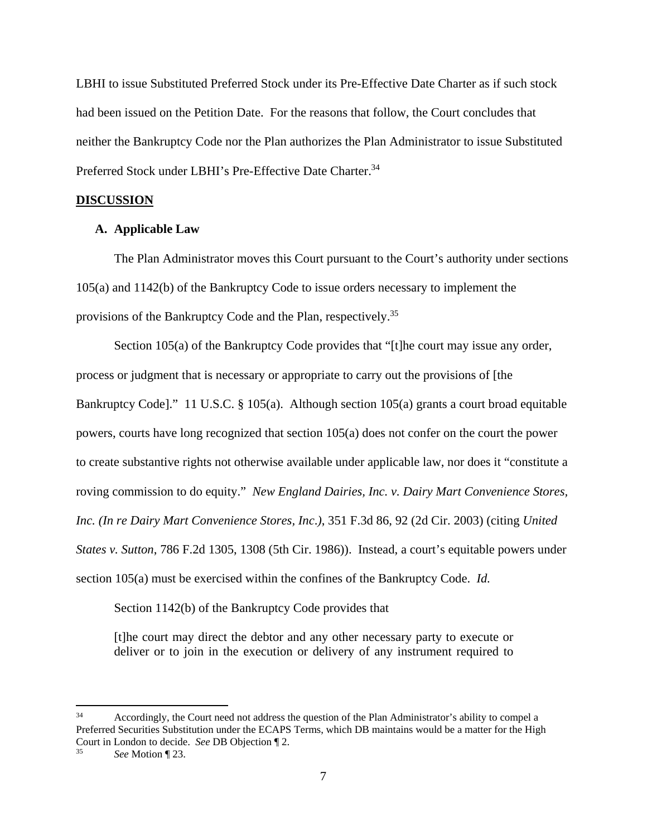LBHI to issue Substituted Preferred Stock under its Pre-Effective Date Charter as if such stock had been issued on the Petition Date. For the reasons that follow, the Court concludes that neither the Bankruptcy Code nor the Plan authorizes the Plan Administrator to issue Substituted Preferred Stock under LBHI's Pre-Effective Date Charter.<sup>34</sup>

#### **DISCUSSION**

## **A. Applicable Law**

The Plan Administrator moves this Court pursuant to the Court's authority under sections 105(a) and 1142(b) of the Bankruptcy Code to issue orders necessary to implement the provisions of the Bankruptcy Code and the Plan, respectively.35

Section 105(a) of the Bankruptcy Code provides that "[t]he court may issue any order, process or judgment that is necessary or appropriate to carry out the provisions of [the Bankruptcy Code]." 11 U.S.C. § 105(a). Although section 105(a) grants a court broad equitable powers, courts have long recognized that section 105(a) does not confer on the court the power to create substantive rights not otherwise available under applicable law, nor does it "constitute a roving commission to do equity." *New England Dairies, Inc. v. Dairy Mart Convenience Stores, Inc. (In re Dairy Mart Convenience Stores, Inc*.*)*, 351 F.3d 86, 92 (2d Cir. 2003) (citing *United States v. Sutton*, 786 F.2d 1305, 1308 (5th Cir. 1986)). Instead, a court's equitable powers under section 105(a) must be exercised within the confines of the Bankruptcy Code. *Id.*

Section 1142(b) of the Bankruptcy Code provides that

[t]he court may direct the debtor and any other necessary party to execute or deliver or to join in the execution or delivery of any instrument required to

1

<sup>&</sup>lt;sup>34</sup> Accordingly, the Court need not address the question of the Plan Administrator's ability to compel a Preferred Securities Substitution under the ECAPS Terms, which DB maintains would be a matter for the High Court in London to decide. *See* DB Objection ¶ 2. 35 *See* Motion ¶ 23.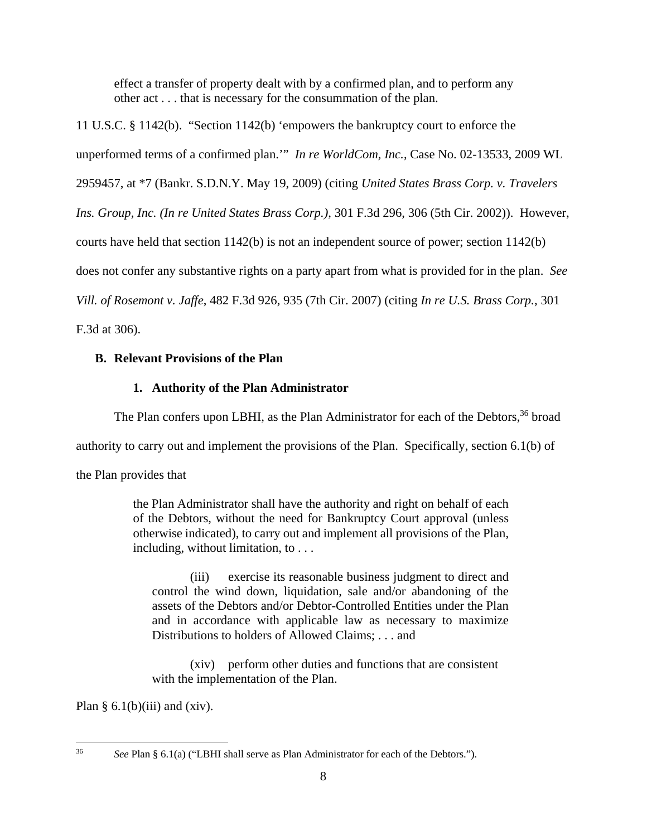effect a transfer of property dealt with by a confirmed plan, and to perform any other act . . . that is necessary for the consummation of the plan.

11 U.S.C. § 1142(b). "Section 1142(b) 'empowers the bankruptcy court to enforce the unperformed terms of a confirmed plan.'" *In re WorldCom, Inc.*, Case No. 02-13533, 2009 WL 2959457, at \*7 (Bankr. S.D.N.Y. May 19, 2009) (citing *United States Brass Corp. v. Travelers Ins. Group, Inc. (In re United States Brass Corp.)*, 301 F.3d 296, 306 (5th Cir. 2002)). However, courts have held that section 1142(b) is not an independent source of power; section 1142(b) does not confer any substantive rights on a party apart from what is provided for in the plan. *See Vill. of Rosemont v. Jaffe*, 482 F.3d 926, 935 (7th Cir. 2007) (citing *In re U.S. Brass Corp.*, 301

F.3d at 306).

# **B. Relevant Provisions of the Plan**

# **1. Authority of the Plan Administrator**

The Plan confers upon LBHI, as the Plan Administrator for each of the Debtors,<sup>36</sup> broad

authority to carry out and implement the provisions of the Plan. Specifically, section 6.1(b) of

the Plan provides that

the Plan Administrator shall have the authority and right on behalf of each of the Debtors, without the need for Bankruptcy Court approval (unless otherwise indicated), to carry out and implement all provisions of the Plan, including, without limitation, to . . .

(iii) exercise its reasonable business judgment to direct and control the wind down, liquidation, sale and/or abandoning of the assets of the Debtors and/or Debtor-Controlled Entities under the Plan and in accordance with applicable law as necessary to maximize Distributions to holders of Allowed Claims; . . . and

(xiv) perform other duties and functions that are consistent with the implementation of the Plan.

Plan §  $6.1(b)(iii)$  and (xiv).

 $36$ See Plan § 6.1(a) ("LBHI shall serve as Plan Administrator for each of the Debtors.").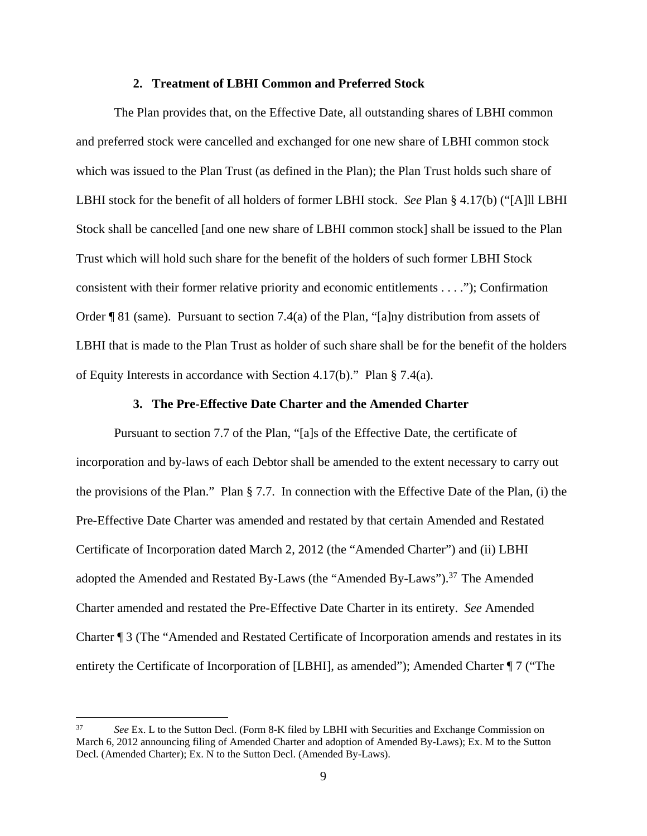#### **2. Treatment of LBHI Common and Preferred Stock**

The Plan provides that, on the Effective Date, all outstanding shares of LBHI common and preferred stock were cancelled and exchanged for one new share of LBHI common stock which was issued to the Plan Trust (as defined in the Plan); the Plan Trust holds such share of LBHI stock for the benefit of all holders of former LBHI stock. *See* Plan § 4.17(b) ("[A]ll LBHI Stock shall be cancelled [and one new share of LBHI common stock] shall be issued to the Plan Trust which will hold such share for the benefit of the holders of such former LBHI Stock consistent with their former relative priority and economic entitlements . . . ."); Confirmation Order ¶ 81 (same). Pursuant to section 7.4(a) of the Plan, "[a]ny distribution from assets of LBHI that is made to the Plan Trust as holder of such share shall be for the benefit of the holders of Equity Interests in accordance with Section 4.17(b)." Plan § 7.4(a).

## **3. The Pre-Effective Date Charter and the Amended Charter**

Pursuant to section 7.7 of the Plan, "[a]s of the Effective Date, the certificate of incorporation and by-laws of each Debtor shall be amended to the extent necessary to carry out the provisions of the Plan." Plan § 7.7. In connection with the Effective Date of the Plan, (i) the Pre-Effective Date Charter was amended and restated by that certain Amended and Restated Certificate of Incorporation dated March 2, 2012 (the "Amended Charter") and (ii) LBHI adopted the Amended and Restated By-Laws (the "Amended By-Laws").<sup>37</sup> The Amended Charter amended and restated the Pre-Effective Date Charter in its entirety. *See* Amended Charter ¶ 3 (The "Amended and Restated Certificate of Incorporation amends and restates in its entirety the Certificate of Incorporation of [LBHI], as amended"); Amended Charter ¶ 7 ("The

<u>.</u>

<sup>37</sup> *See* Ex. L to the Sutton Decl. (Form 8-K filed by LBHI with Securities and Exchange Commission on March 6, 2012 announcing filing of Amended Charter and adoption of Amended By-Laws); Ex. M to the Sutton Decl. (Amended Charter); Ex. N to the Sutton Decl. (Amended By-Laws).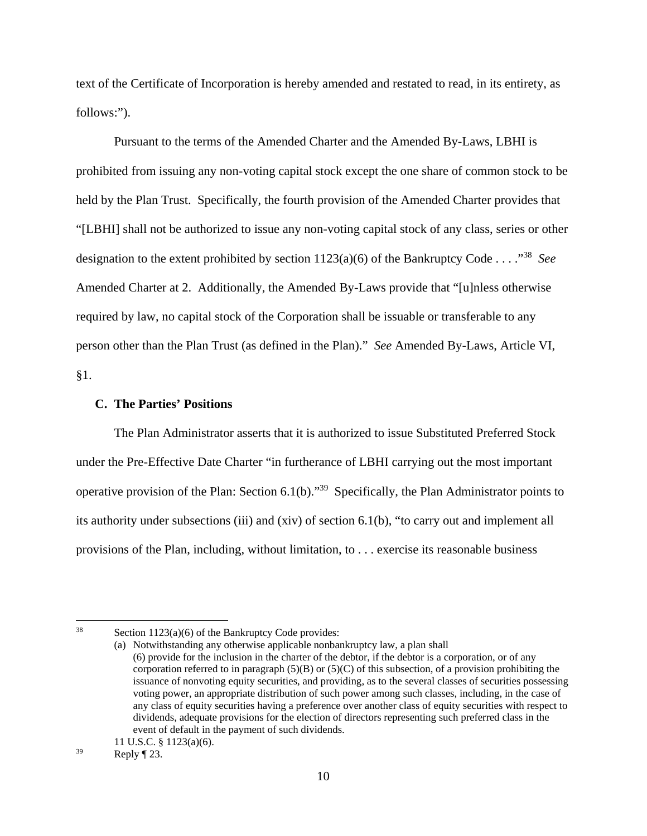text of the Certificate of Incorporation is hereby amended and restated to read, in its entirety, as follows:").

Pursuant to the terms of the Amended Charter and the Amended By-Laws, LBHI is prohibited from issuing any non-voting capital stock except the one share of common stock to be held by the Plan Trust. Specifically, the fourth provision of the Amended Charter provides that "[LBHI] shall not be authorized to issue any non-voting capital stock of any class, series or other designation to the extent prohibited by section 1123(a)(6) of the Bankruptcy Code . . . ."38 *See*  Amended Charter at 2. Additionally, the Amended By-Laws provide that "[u]nless otherwise required by law, no capital stock of the Corporation shall be issuable or transferable to any person other than the Plan Trust (as defined in the Plan)." *See* Amended By-Laws, Article VI, §1.

## **C. The Parties' Positions**

The Plan Administrator asserts that it is authorized to issue Substituted Preferred Stock under the Pre-Effective Date Charter "in furtherance of LBHI carrying out the most important operative provision of the Plan: Section 6.1(b)."39 Specifically, the Plan Administrator points to its authority under subsections (iii) and (xiv) of section 6.1(b), "to carry out and implement all provisions of the Plan, including, without limitation, to . . . exercise its reasonable business

 $38$  Section 1123(a)(6) of the Bankruptcy Code provides:

<sup>(</sup>a) Notwithstanding any otherwise applicable nonbankruptcy law, a plan shall (6) provide for the inclusion in the charter of the debtor, if the debtor is a corporation, or of any corporation referred to in paragraph  $(5)(B)$  or  $(5)(C)$  of this subsection, of a provision prohibiting the issuance of nonvoting equity securities, and providing, as to the several classes of securities possessing voting power, an appropriate distribution of such power among such classes, including, in the case of any class of equity securities having a preference over another class of equity securities with respect to dividends, adequate provisions for the election of directors representing such preferred class in the event of default in the payment of such dividends.

<sup>11</sup> U.S.C. § 1123(a)(6).

 $^{39}$  Reply ¶ 23.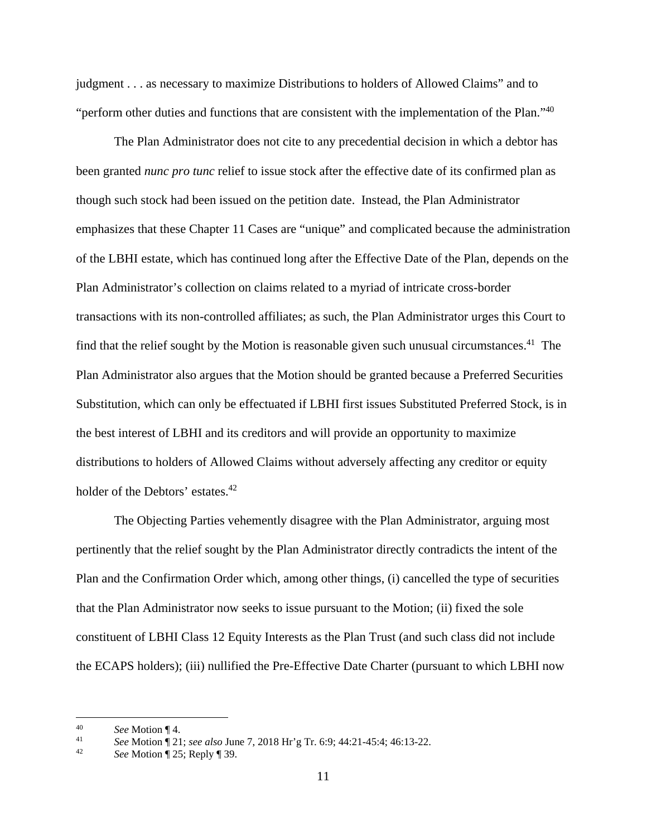judgment . . . as necessary to maximize Distributions to holders of Allowed Claims" and to "perform other duties and functions that are consistent with the implementation of the Plan."<sup>40</sup>

The Plan Administrator does not cite to any precedential decision in which a debtor has been granted *nunc pro tunc* relief to issue stock after the effective date of its confirmed plan as though such stock had been issued on the petition date. Instead, the Plan Administrator emphasizes that these Chapter 11 Cases are "unique" and complicated because the administration of the LBHI estate, which has continued long after the Effective Date of the Plan, depends on the Plan Administrator's collection on claims related to a myriad of intricate cross-border transactions with its non-controlled affiliates; as such, the Plan Administrator urges this Court to find that the relief sought by the Motion is reasonable given such unusual circumstances.<sup>41</sup> The Plan Administrator also argues that the Motion should be granted because a Preferred Securities Substitution, which can only be effectuated if LBHI first issues Substituted Preferred Stock, is in the best interest of LBHI and its creditors and will provide an opportunity to maximize distributions to holders of Allowed Claims without adversely affecting any creditor or equity holder of the Debtors' estates.<sup>42</sup>

The Objecting Parties vehemently disagree with the Plan Administrator, arguing most pertinently that the relief sought by the Plan Administrator directly contradicts the intent of the Plan and the Confirmation Order which, among other things, (i) cancelled the type of securities that the Plan Administrator now seeks to issue pursuant to the Motion; (ii) fixed the sole constituent of LBHI Class 12 Equity Interests as the Plan Trust (and such class did not include the ECAPS holders); (iii) nullified the Pre-Effective Date Charter (pursuant to which LBHI now

<sup>40</sup>*See* Motion ¶ 4. 41 *See* Motion ¶ 21; *see also* June 7, 2018 Hr'g Tr. 6:9; 44:21-45:4; 46:13-22. 42 *See* Motion ¶ 25; Reply ¶ 39.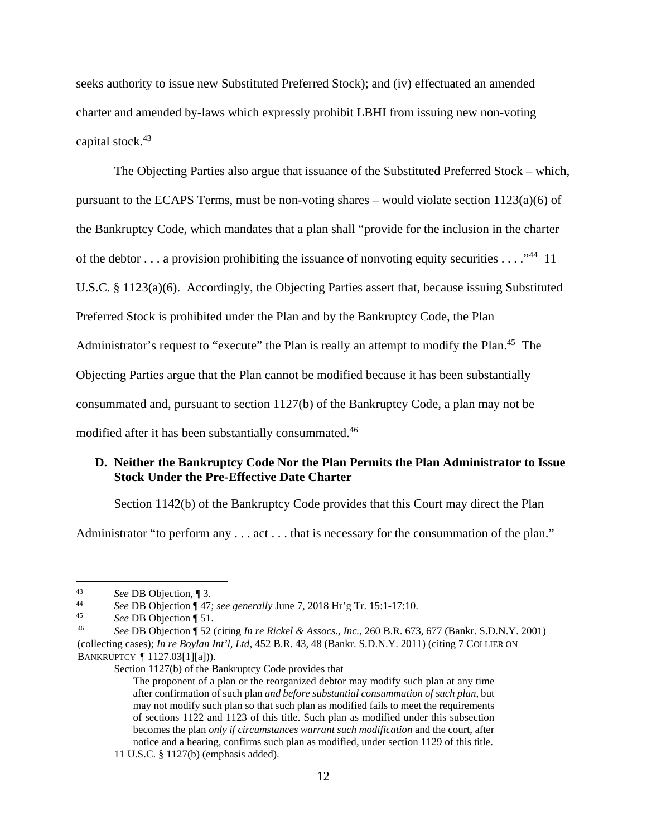seeks authority to issue new Substituted Preferred Stock); and (iv) effectuated an amended charter and amended by-laws which expressly prohibit LBHI from issuing new non-voting capital stock.43

The Objecting Parties also argue that issuance of the Substituted Preferred Stock – which, pursuant to the ECAPS Terms, must be non-voting shares – would violate section 1123(a)(6) of the Bankruptcy Code, which mandates that a plan shall "provide for the inclusion in the charter of the debtor ... a provision prohibiting the issuance of nonvoting equity securities ...  $\cdot$ <sup>44</sup> 11 U.S.C. § 1123(a)(6). Accordingly, the Objecting Parties assert that, because issuing Substituted Preferred Stock is prohibited under the Plan and by the Bankruptcy Code, the Plan Administrator's request to "execute" the Plan is really an attempt to modify the Plan.<sup>45</sup> The Objecting Parties argue that the Plan cannot be modified because it has been substantially consummated and, pursuant to section 1127(b) of the Bankruptcy Code, a plan may not be modified after it has been substantially consummated.<sup>46</sup>

# **D. Neither the Bankruptcy Code Nor the Plan Permits the Plan Administrator to Issue Stock Under the Pre-Effective Date Charter**

Section 1142(b) of the Bankruptcy Code provides that this Court may direct the Plan

Administrator "to perform any . . . act . . . that is necessary for the consummation of the plan."

 $43$ 

<sup>&</sup>lt;sup>43</sup> See DB Objection, ¶ 3.<br>
<sup>44</sup> See DB Objection ¶ 47; see generally June 7, 2018 Hr'g Tr. 15:1-17:10.<br>
<sup>45</sup> See DB Objection ¶ 51.<br>
<sup>46</sup> See DB Objection ¶ 52 (citing *In re Rickel & Assocs., Inc., 260 B.R. 673, 677 (B* (collecting cases); *In re Boylan Int'l, Ltd,* 452 B.R. 43, 48 (Bankr. S.D.N.Y. 2011) (citing 7 COLLIER ON BANKRUPTCY ¶ 1127.03[1][a])).

Section 1127(b) of the Bankruptcy Code provides that

The proponent of a plan or the reorganized debtor may modify such plan at any time after confirmation of such plan *and before substantial consummation of such plan*, but may not modify such plan so that such plan as modified fails to meet the requirements of sections 1122 and 1123 of this title. Such plan as modified under this subsection becomes the plan *only if circumstances warrant such modification* and the court, after notice and a hearing, confirms such plan as modified, under section 1129 of this title.

<sup>11</sup> U.S.C. § 1127(b) (emphasis added).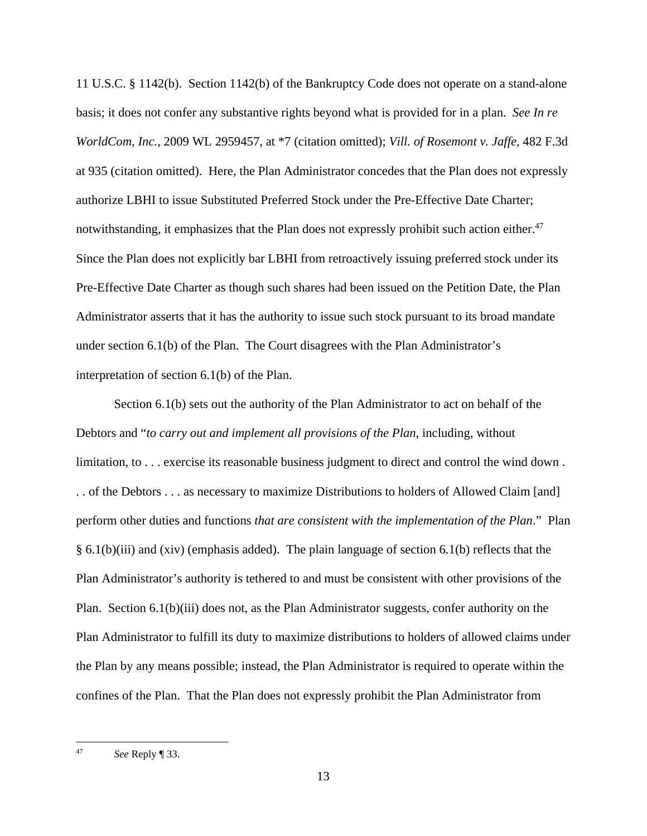11 U.S.C. § 1142(b). Section 1142(b) of the Bankruptcy Code does not operate on a stand-alone basis; it does not confer any substantive rights beyond what is provided for in a plan. *See In re WorldCom, Inc.*, 2009 WL 2959457, at \*7 (citation omitted); *Vill. of Rosemont v. Jaffe*, 482 F.3d at 935 (citation omitted). Here, the Plan Administrator concedes that the Plan does not expressly authorize LBHI to issue Substituted Preferred Stock under the Pre-Effective Date Charter; notwithstanding, it emphasizes that the Plan does not expressly prohibit such action either.<sup>47</sup> Since the Plan does not explicitly bar LBHI from retroactively issuing preferred stock under its Pre-Effective Date Charter as though such shares had been issued on the Petition Date, the Plan Administrator asserts that it has the authority to issue such stock pursuant to its broad mandate under section 6.1(b) of the Plan. The Court disagrees with the Plan Administrator's interpretation of section 6.1(b) of the Plan.

Section 6.1(b) sets out the authority of the Plan Administrator to act on behalf of the Debtors and "*to carry out and implement all provisions of the Plan*, including, without limitation, to . . . exercise its reasonable business judgment to direct and control the wind down. . . of the Debtors . . . as necessary to maximize Distributions to holders of Allowed Claim [and] perform other duties and functions *that are consistent with the implementation of the Plan*." Plan § 6.1(b)(iii) and (xiv) (emphasis added). The plain language of section 6.1(b) reflects that the Plan Administrator's authority is tethered to and must be consistent with other provisions of the Plan. Section 6.1(b)(iii) does not, as the Plan Administrator suggests, confer authority on the Plan Administrator to fulfill its duty to maximize distributions to holders of allowed claims under the Plan by any means possible; instead, the Plan Administrator is required to operate within the confines of the Plan. That the Plan does not expressly prohibit the Plan Administrator from

 $47$ 47 *See* Reply ¶ 33.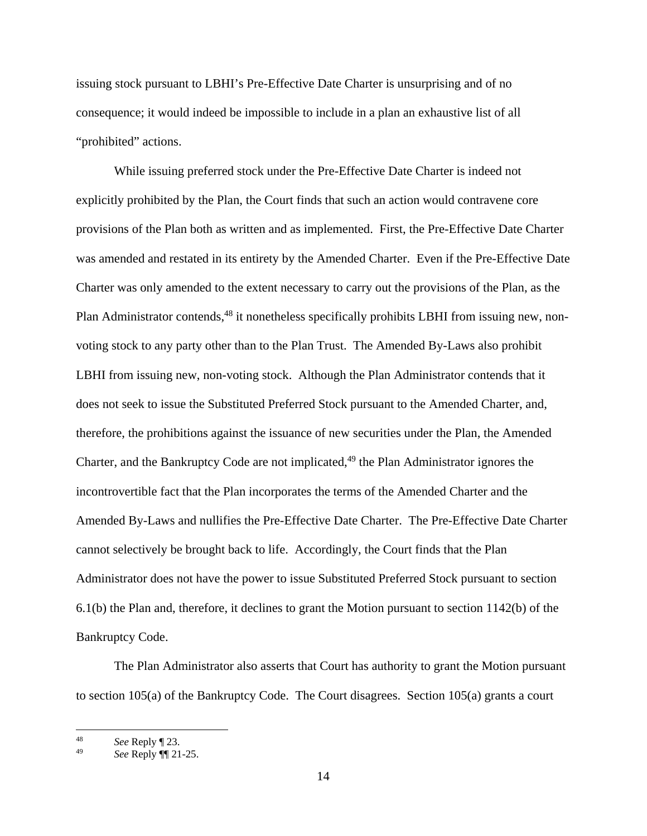issuing stock pursuant to LBHI's Pre-Effective Date Charter is unsurprising and of no consequence; it would indeed be impossible to include in a plan an exhaustive list of all "prohibited" actions.

While issuing preferred stock under the Pre-Effective Date Charter is indeed not explicitly prohibited by the Plan, the Court finds that such an action would contravene core provisions of the Plan both as written and as implemented. First, the Pre-Effective Date Charter was amended and restated in its entirety by the Amended Charter. Even if the Pre-Effective Date Charter was only amended to the extent necessary to carry out the provisions of the Plan, as the Plan Administrator contends,<sup>48</sup> it nonetheless specifically prohibits LBHI from issuing new, nonvoting stock to any party other than to the Plan Trust. The Amended By-Laws also prohibit LBHI from issuing new, non-voting stock. Although the Plan Administrator contends that it does not seek to issue the Substituted Preferred Stock pursuant to the Amended Charter, and, therefore, the prohibitions against the issuance of new securities under the Plan, the Amended Charter, and the Bankruptcy Code are not implicated,<sup>49</sup> the Plan Administrator ignores the incontrovertible fact that the Plan incorporates the terms of the Amended Charter and the Amended By-Laws and nullifies the Pre-Effective Date Charter. The Pre-Effective Date Charter cannot selectively be brought back to life. Accordingly, the Court finds that the Plan Administrator does not have the power to issue Substituted Preferred Stock pursuant to section 6.1(b) the Plan and, therefore, it declines to grant the Motion pursuant to section 1142(b) of the Bankruptcy Code.

The Plan Administrator also asserts that Court has authority to grant the Motion pursuant to section 105(a) of the Bankruptcy Code. The Court disagrees. Section 105(a) grants a court

<sup>48</sup> 48 *See* Reply ¶ 23.

<sup>49</sup> *See* Reply ¶¶ 21-25.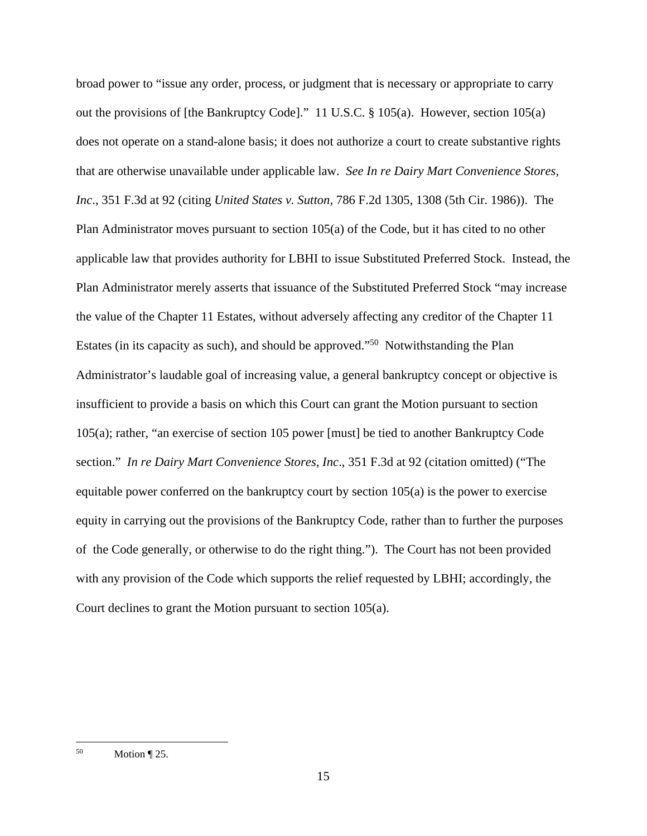broad power to "issue any order, process, or judgment that is necessary or appropriate to carry out the provisions of [the Bankruptcy Code]." 11 U.S.C. § 105(a). However, section 105(a) does not operate on a stand-alone basis; it does not authorize a court to create substantive rights that are otherwise unavailable under applicable law. *See In re Dairy Mart Convenience Stores, Inc*., 351 F.3d at 92 (citing *United States v. Sutton*, 786 F.2d 1305, 1308 (5th Cir. 1986)). The Plan Administrator moves pursuant to section 105(a) of the Code, but it has cited to no other applicable law that provides authority for LBHI to issue Substituted Preferred Stock. Instead, the Plan Administrator merely asserts that issuance of the Substituted Preferred Stock "may increase the value of the Chapter 11 Estates, without adversely affecting any creditor of the Chapter 11 Estates (in its capacity as such), and should be approved."50 Notwithstanding the Plan Administrator's laudable goal of increasing value, a general bankruptcy concept or objective is insufficient to provide a basis on which this Court can grant the Motion pursuant to section 105(a); rather, "an exercise of section 105 power [must] be tied to another Bankruptcy Code section." *In re Dairy Mart Convenience Stores, Inc*., 351 F.3d at 92 (citation omitted) ("The equitable power conferred on the bankruptcy court by section 105(a) is the power to exercise equity in carrying out the provisions of the Bankruptcy Code, rather than to further the purposes of the Code generally, or otherwise to do the right thing."). The Court has not been provided with any provision of the Code which supports the relief requested by LBHI; accordingly, the Court declines to grant the Motion pursuant to section 105(a).

<sup>50</sup> Motion  $\P$  25.